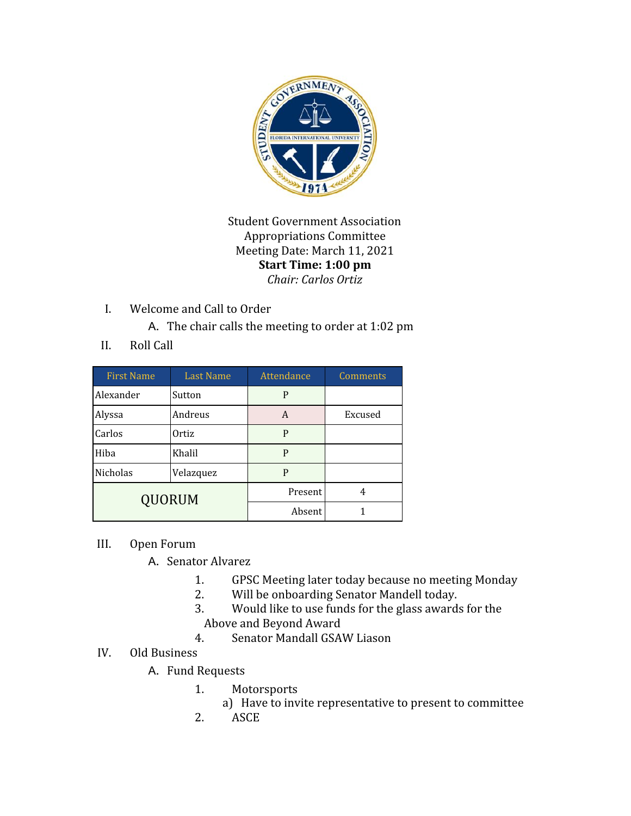

Student Government Association Appropriations Committee Meeting Date: March 11, 2021 **Start Time: 1:00 pm** *Chair: Carlos Ortiz*

I. Welcome and Call to Order

A. The chair calls the meeting to order at 1:02 pm

II. Roll Call

| <b>First Name</b> | <b>Last Name</b> | Attendance | Comments |
|-------------------|------------------|------------|----------|
| Alexander         | Sutton           | P          |          |
| Alyssa            | Andreus          | A          | Excused  |
| Carlos            | Ortiz            | P          |          |
| Hiba              | Khalil           | P          |          |
| Nicholas          | Velazquez        | P          |          |
| QUORUM            |                  | Present    | 4        |
|                   |                  | Absent     |          |

- III. Open Forum
	- A. Senator Alvarez
		- 1. GPSC Meeting later today because no meeting Monday
		- 2. Will be onboarding Senator Mandell today.
		- 3. Would like to use funds for the glass awards for the Above and Beyond Award
		- 4. Senator Mandall GSAW Liason
- IV. Old Business
	- A. Fund Requests
		- 1. Motorsports
			- a) Have to invite representative to present to committee
		- 2. ASCE